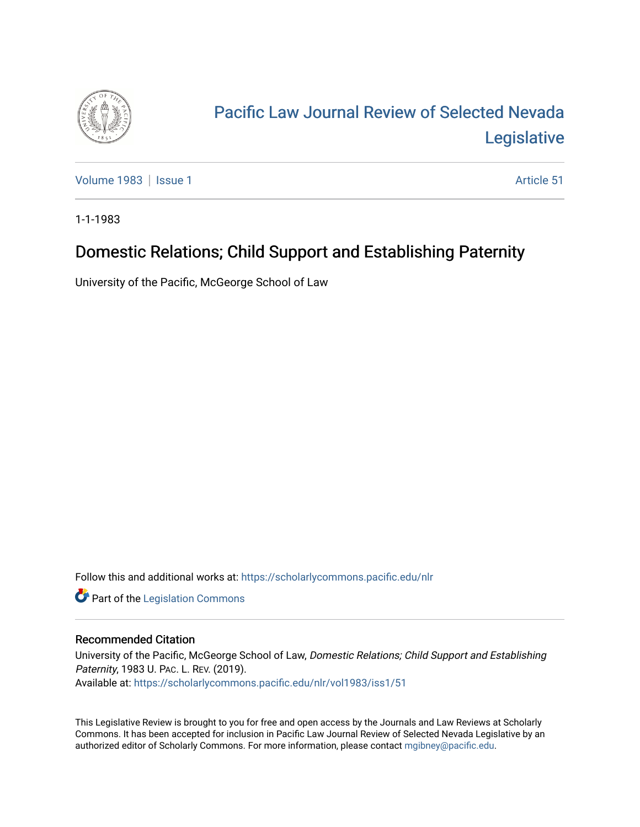

# [Pacific Law Journal Review of Selected Nevada](https://scholarlycommons.pacific.edu/nlr)  [Legislative](https://scholarlycommons.pacific.edu/nlr)

[Volume 1983](https://scholarlycommons.pacific.edu/nlr/vol1983) | [Issue 1](https://scholarlycommons.pacific.edu/nlr/vol1983/iss1) Article 51

1-1-1983

# Domestic Relations; Child Support and Establishing Paternity

University of the Pacific, McGeorge School of Law

Follow this and additional works at: [https://scholarlycommons.pacific.edu/nlr](https://scholarlycommons.pacific.edu/nlr?utm_source=scholarlycommons.pacific.edu%2Fnlr%2Fvol1983%2Fiss1%2F51&utm_medium=PDF&utm_campaign=PDFCoverPages) 

**Part of the [Legislation Commons](http://network.bepress.com/hgg/discipline/859?utm_source=scholarlycommons.pacific.edu%2Fnlr%2Fvol1983%2Fiss1%2F51&utm_medium=PDF&utm_campaign=PDFCoverPages)** 

# Recommended Citation

University of the Pacific, McGeorge School of Law, Domestic Relations; Child Support and Establishing Paternity, 1983 U. PAC. L. REV. (2019). Available at: [https://scholarlycommons.pacific.edu/nlr/vol1983/iss1/51](https://scholarlycommons.pacific.edu/nlr/vol1983/iss1/51?utm_source=scholarlycommons.pacific.edu%2Fnlr%2Fvol1983%2Fiss1%2F51&utm_medium=PDF&utm_campaign=PDFCoverPages)

This Legislative Review is brought to you for free and open access by the Journals and Law Reviews at Scholarly Commons. It has been accepted for inclusion in Pacific Law Journal Review of Selected Nevada Legislative by an authorized editor of Scholarly Commons. For more information, please contact [mgibney@pacific.edu](mailto:mgibney@pacific.edu).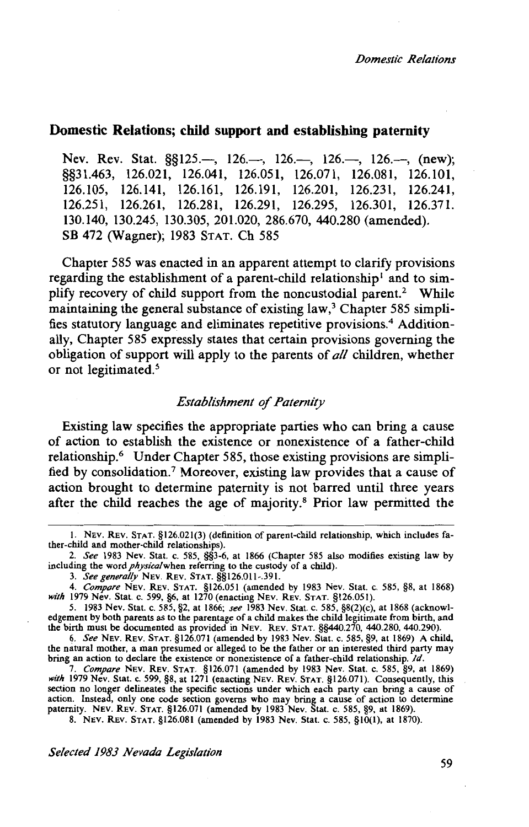## **Domestic Relations; child support and establishing paternity**

Nev. Rev. Stat. §§125.—, 126.—, 126.—, 126.—, 126.—, (new); §§31.463, 126.021, 126.041, 126.051, 126.071, 126.081, 126.101, 126.105, 126.141, 126.161, 126.191, 126.201, 126.231, 126.241, 126.251, 126.261, 126.281, 126.291, 126.295, 126.301, 126.371. 130.140, 130.245, 130.305, 201.020, 286.670, 440.280 (amended). SB 472 (Wagner); 1983 STAT. Ch 585

Chapter 585 was enacted in an apparent attempt to clarify provisions regarding the establishment of a parent-child relationship' and to simplify recovery of child support from the noncustodial parent.<sup>2</sup> While maintaining the general substance of existing law,<sup>3</sup> Chapter 585 simplifies statutory language and eliminates repetitive provisions.4 Additionally, Chapter 585 expressly states that certain provisions governing the obligation of support will apply to the parents of *all* children, whether or not legitimated.5

#### *Establishment* of *Paternity*

Existing law specifies the appropriate parties who can bring a cause of action to establish the existence or nonexistence of a father-child relationship.6 Under Chapter 585, those existing provisions are simplified by consolidation.7 Moreover, existing law provides that a cause of action brought to determine paternity is not barred until three years after the child reaches the age of majority.8 Prior law permitted the

8. NEv. REv. STAT. §126.081 (amended by 1983 Nev. Stat. c. 585, §10(1), at 1870).

*Selected 1983 Nevada Legislation* 

I. NEv. REV. STAT. §126.021(3) (definition of parent-child relationship. which includes father-child and mother-child relationships).

<sup>2.</sup> *See* 1983 Nev. Stat. c. 585, §§3-6, at 1866 (Chapter 585 also modifies existing law by including the word *physical* when referring to the custody of a child).

<sup>3.</sup> *See generally* NEv. REv. STAT. §§126.011-.391.

<sup>4.</sup> *Compare* NEv. REv. STAT. §126.051 (amended by 1983 Nev. Stat. c. 585, §8, at 1868) *with* 1979 Nev. Stat. c. 599, §6, at 1270 (enacting NEv. REv. STAT. §126.051).

<sup>5. 1983</sup> Nev. Stat. c. 585, §2, at 1866; *see* 1983 Nev. Stat. c. 585, §8(2)(c), at 1868 (acknowl-edgement by both parents as to the parentage of a child makes the child legitimate from birth, and the birth must be documented as provided in NEV. REv. STAT. §§440.270, 440.280, 440.290).

<sup>6.</sup> *See* NEV. REv. STAT. §126.071 (amended by 1983 Nev. Stat. c. 585, §9, at 1869) A child, the natural mother, a man presumed or alleged to be the father or an interested third party may bring an action to declare the existence or nonexistence of a father-child relationship. *Id.* 

<sup>7.</sup> *Compare* NEv. REV. STAT. §126.071 (amended by 1983 Nev. Stat. c. 585, §9, at 1869) *with* 1979 Nev. Stat. c. 599, §8, at 1271 (enacting NEv. REv. STAT. §126.071). Consequently, this section no longer delineates the specific sections under which each party can bring a cause of action. Instead, only one code section governs who may bring a cause of action to determine paternity. NEV. REv. STAT. §126.071 (amended by 1983 Nev. Stat. c. 585, §9, at 1869).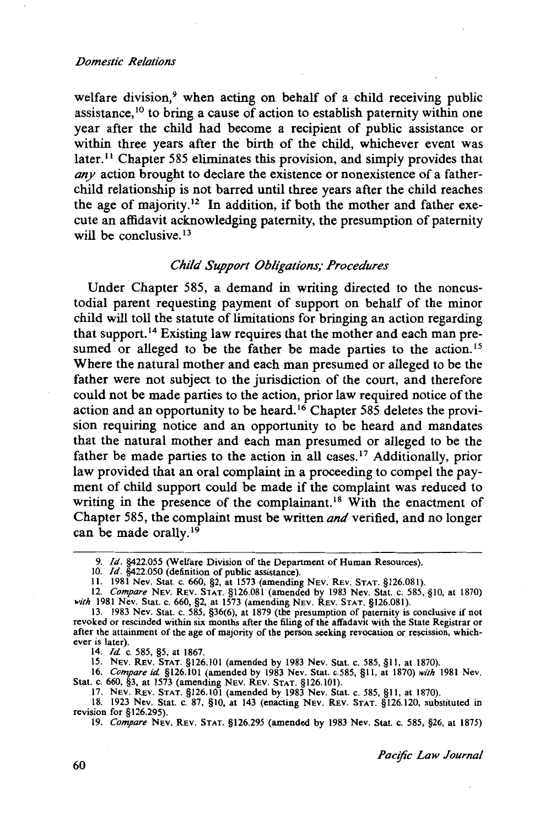#### *Domestic Relations*

welfare division,<sup>9</sup> when acting on behalf of a child receiving public assistance, 10 to bring a cause of action to establish paternity within one year after the child had become a recipient of public assistance or within three years after the birth of the child, whichever event was later.<sup>11</sup> Chapter 585 eliminates this provision, and simply provides that *any* action brought to declare the existence or nonexistence of a fatherchild relationship is not barred until three years after the child reaches the age of majority.<sup>12</sup> In addition, if both the mother and father execute an affidavit acknowledging paternity, the presumption of paternity will be conclusive.<sup>13</sup>

#### *Child Support Obligations; Procedures*

Under Chapter 585, a demand in writing directed to the noncustodial parent requesting payment of support on behalf of the minor child will toll the statute of limitations for bringing an action regarding that support. 14 Existing law requires that the mother and each man presumed or alleged to be the father be made parties to the action.<sup>15</sup> Where the natural mother and each man presumed or alleged to be the father were not subject to the jurisdiction of the court, and therefore could not be made parties to the action, prior law required notice of the action and an opportunity to be heard. 16 Chapter 585 deletes the provision requiring notice and an opportunity to be heard and mandates that the natural mother and each man presumed or alleged to be the father be made parties to the action in all cases.'7 Additionally, prior law provided that an oral complaint in a proceeding to compel the payment of child support could be made if the complaint was reduced to writing in the presence of the complainant.<sup>18</sup> With the enactment of Chapter 585, the complaint must be written *and* verified, and no longer can be made orally.<sup>19</sup>

14. */d.* c. 585, §5, at 1867.

15. NEv. REv. STAT. §126.101 (amended by 1983 Nev. Stat. c. 585, §11, at 1870).

16. *Compare id.* §126.101 (amended by 1983 Nev. Stat. c.585, §II, at 1870) *with* 1981 Nev. Stat. c. 660, §3, at 1573 (amending NEv. REv. STAT. §126.101).

17. NEv. REv. STAT. §126.101 (amended by 1983 Nev. Stat. c. 585, §11, at 1870).

18. 1923 Nev. Stat. c. 87, §10, at 143 (enacting NEv. REv. STAT. §126.120, substituted in revision for §126.295).

19. *Compare* NEv. REv. STAT. §126.295 (amended by 1983 Nev. Stat. c. 585, §26, at 1875)

60 *Pac!fic Law Journal* 

<sup>9.</sup> *Id.* §422.055 (Welfare Division of the Department of Human Resources).

<sup>10.</sup> */d.* §422.050 (definition of public assistance). .

II. 1981 Nev. Stat. c. 660, §2, at 1573 (amending NEv. REV. STAT. §126.081).

<sup>12.</sup> *Compare* NEv. REv. STAT. §126.081 (amended by 1983 Nev. Stat. c. 585, §10, at 1870) *with* 1981 Nev. Stat. c. 660, §2, at 1573 (amending NEv. REv. STAT. §126.081).

<sup>13. 1983</sup> Nev. Stat. c. 585, §36(6), at 1879 (the presumption of paternity is conclusive if not revoked or rescinded within six months after the filing of the affadavit with the State Registrar or after the attainment of the age of majority of the person seeking revocation or rescission, which- ever is later).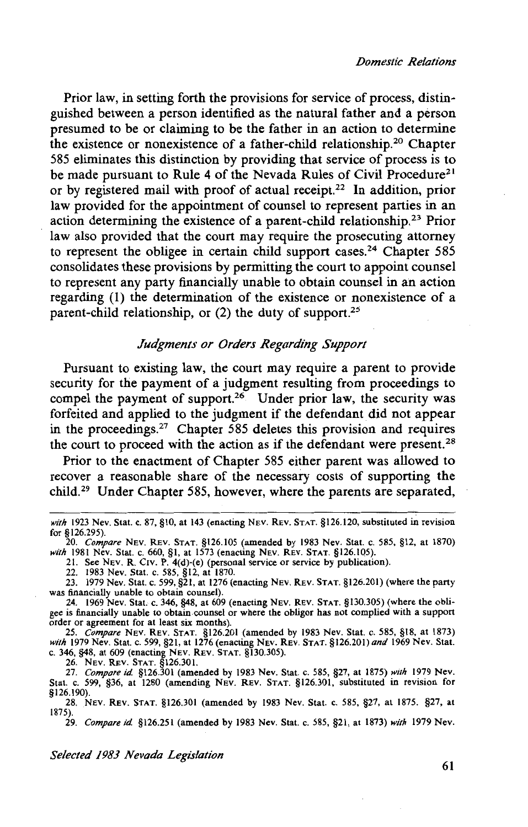Prior law, in setting forth the provisions for service of process, distinguished between a person identified as the natural father and a person presumed to be or claiming to be the father in an action to determine the existence or nonexistence of a father-child relationship.<sup>20</sup> Chapter 585 eliminates this distinction by providing that service of process is to be made pursuant to Rule 4 of the Nevada Rules of Civil Procedure<sup>21</sup> or by registered mail with proof of actual receipt. 22 In addition, prior law provided for the appointment of counsel to represent parties in an action determining the existence of a parent-child relationship.23 Prior law also provided that the court may require the prosecuting attorney to represent the obligee in certain child support cases.<sup>24</sup> Chapter 585 consolidates these provisions by permitting the court to appoint counsel to represent any party financially unable to obtain counsel in an action regarding (1) the determination of the existence or nonexistence of a parent-child relationship, or (2) the duty of support.<sup>25</sup>

### *Judgments or Orders Regarding Support*

Pursuant to existing law, the court may require a parent to provide security for the payment of a judgment resulting from proceedings to compel the payment of support.<sup>26</sup> Under prior law, the security was forfeited and applied to the judgment if the defendant did not appear in the proceedings.27 Chapter 585 deletes this provision and requires the court to proceed with the action as if the defendant were present.<sup>28</sup>

Prior to the enactment of Chapter 585 either parent was allowed to recover a reasonable share of the necessary costs of supporting the child.29 Under Chapter 585, however, where the parents are separated,

25. *Compare* NEv. REv. STAT. §126.201 (amended by 1983 Nev. Stat. c. 585, §18, at 1873) *with* 1979 Nev. Stat. c. 599, §21, at 1276 (enacting NEV. REv. STAT. §126.201) *and* 1969 Nev. Stat. C. 346, §48, at 609 (enacting NEV. REV. STAT. §130.305).

26. NEV. REV. STAT. §126.301. . 27. *Compare id* §126.301 (amended by 1983 Nev. Stat. c. 585, §27, at 1875) *with* 1979 Nev. Stat. c. 599, §36, at 1280 (amending NEv. REv. STAT. §126.301, substituted in revision for §126.190).

*Selected 1983 Nevada Legislation* 

*with* 1923 Nev. Stat. c. 87, §10, at 143 (enacting NEv. REv. STAT. §126.120, substituted in revision for § 126.295).

<sup>20.</sup> *Compare* NEv. REv. STAT. §126.105 (amended by 1983 Nev. Stat. c. 585, §12, at 1870) *with* 1981 Nev. Stat. c. 660, §1, at 1573 (enacting NEv. REv. STAT. §126.105).

<sup>21.</sup> See NEV. R. Ctv. P. 4(d)-(e) (personal service or service by publication).

<sup>22. 1983</sup> Nev. Stat. c. 585, §12, at 1870.

<sup>23. 1979</sup> Nev. Stat. c. 599, §21, at 1276 (enacting NEv. REv. STAT. §126.201) (where the party was financially unable to obtain counsel).

<sup>24. 1969</sup> Nev. Stat. c. 346, §48, at 609 (enacting NEv. REv. STAT. §130.305) (where the obligee is financially unable to obtain. counsel or where the obligor has not complied with a support order or agreement for at least six months).

<sup>28.</sup> NEV. REV. STAT. §126.301 (amended by 1983 Nev. Stat. c. 585, §27, at 1875. §27, at 1875).

<sup>29.</sup> *Compare id* §126.251 (amended by 1983 Nev. Stat. c. 585, §21, at 1873) *with* 1979 Nev.